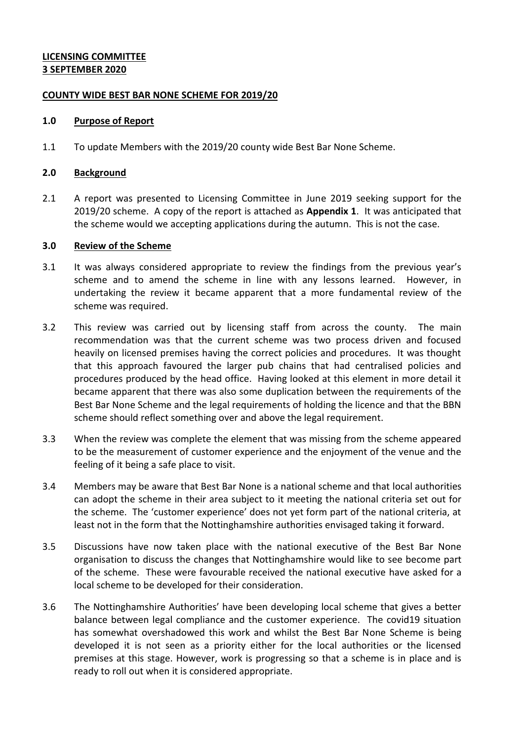### **LICENSING COMMITTEE 3 SEPTEMBER 2020**

#### **COUNTY WIDE BEST BAR NONE SCHEME FOR 2019/20**

#### **1.0 Purpose of Report**

1.1 To update Members with the 2019/20 county wide Best Bar None Scheme.

#### **2.0 Background**

2.1 A report was presented to Licensing Committee in June 2019 seeking support for the 2019/20 scheme. A copy of the report is attached as **Appendix 1**. It was anticipated that the scheme would we accepting applications during the autumn. This is not the case.

#### **3.0 Review of the Scheme**

- 3.1 It was always considered appropriate to review the findings from the previous year's scheme and to amend the scheme in line with any lessons learned. However, in undertaking the review it became apparent that a more fundamental review of the scheme was required.
- 3.2 This review was carried out by licensing staff from across the county. The main recommendation was that the current scheme was two process driven and focused heavily on licensed premises having the correct policies and procedures. It was thought that this approach favoured the larger pub chains that had centralised policies and procedures produced by the head office. Having looked at this element in more detail it became apparent that there was also some duplication between the requirements of the Best Bar None Scheme and the legal requirements of holding the licence and that the BBN scheme should reflect something over and above the legal requirement.
- 3.3 When the review was complete the element that was missing from the scheme appeared to be the measurement of customer experience and the enjoyment of the venue and the feeling of it being a safe place to visit.
- 3.4 Members may be aware that Best Bar None is a national scheme and that local authorities can adopt the scheme in their area subject to it meeting the national criteria set out for the scheme. The 'customer experience' does not yet form part of the national criteria, at least not in the form that the Nottinghamshire authorities envisaged taking it forward.
- 3.5 Discussions have now taken place with the national executive of the Best Bar None organisation to discuss the changes that Nottinghamshire would like to see become part of the scheme. These were favourable received the national executive have asked for a local scheme to be developed for their consideration.
- 3.6 The Nottinghamshire Authorities' have been developing local scheme that gives a better balance between legal compliance and the customer experience. The covid19 situation has somewhat overshadowed this work and whilst the Best Bar None Scheme is being developed it is not seen as a priority either for the local authorities or the licensed premises at this stage. However, work is progressing so that a scheme is in place and is ready to roll out when it is considered appropriate.